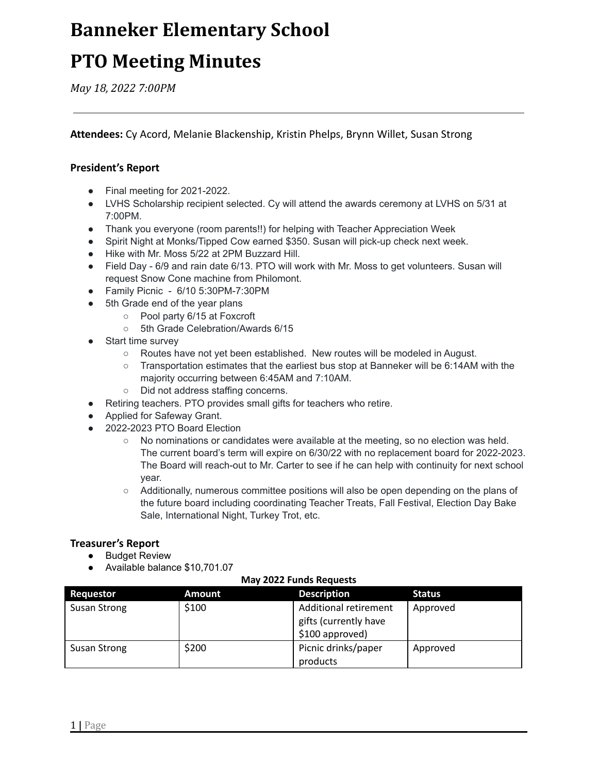## **Banneker Elementary School**

## **PTO Meeting Minutes**

*May 18, 2022 7:00PM*

**Attendees:** Cy Acord, Melanie Blackenship, Kristin Phelps, Brynn Willet, Susan Strong

### **President's Report**

- Final meeting for 2021-2022.
- LVHS Scholarship recipient selected. Cy will attend the awards ceremony at LVHS on 5/31 at 7:00PM.
- Thank you everyone (room parents!!) for helping with Teacher Appreciation Week
- Spirit Night at Monks/Tipped Cow earned \$350. Susan will pick-up check next week.
- Hike with Mr. Moss 5/22 at 2PM Buzzard Hill.
- Field Day 6/9 and rain date 6/13. PTO will work with Mr. Moss to get volunteers. Susan will request Snow Cone machine from Philomont.
- Family Picnic 6/10 5:30PM-7:30PM
- 5th Grade end of the year plans
	- Pool party 6/15 at Foxcroft
	- 5th Grade Celebration/Awards 6/15
- **Start time survey** 
	- Routes have not yet been established. New routes will be modeled in August.
	- Transportation estimates that the earliest bus stop at Banneker will be 6:14AM with the majority occurring between 6:45AM and 7:10AM.
	- Did not address staffing concerns.
- Retiring teachers. PTO provides small gifts for teachers who retire.
- Applied for Safeway Grant.
- 2022-2023 PTO Board Election
	- No nominations or candidates were available at the meeting, so no election was held. The current board's term will expire on 6/30/22 with no replacement board for 2022-2023. The Board will reach-out to Mr. Carter to see if he can help with continuity for next school year.
	- Additionally, numerous committee positions will also be open depending on the plans of the future board including coordinating Teacher Treats, Fall Festival, Election Day Bake Sale, International Night, Turkey Trot, etc.

#### **Treasurer's Report**

- Budget Review
- Available balance \$10,701.07

#### **May 2022 Funds Requests**

| <b>Requestor</b>    | Amount | <b>Description</b>           | <b>Status</b> |
|---------------------|--------|------------------------------|---------------|
| <b>Susan Strong</b> | \$100  | <b>Additional retirement</b> | Approved      |
|                     |        | gifts (currently have        |               |
|                     |        | \$100 approved)              |               |
| <b>Susan Strong</b> | \$200  | Picnic drinks/paper          | Approved      |
|                     |        | products                     |               |